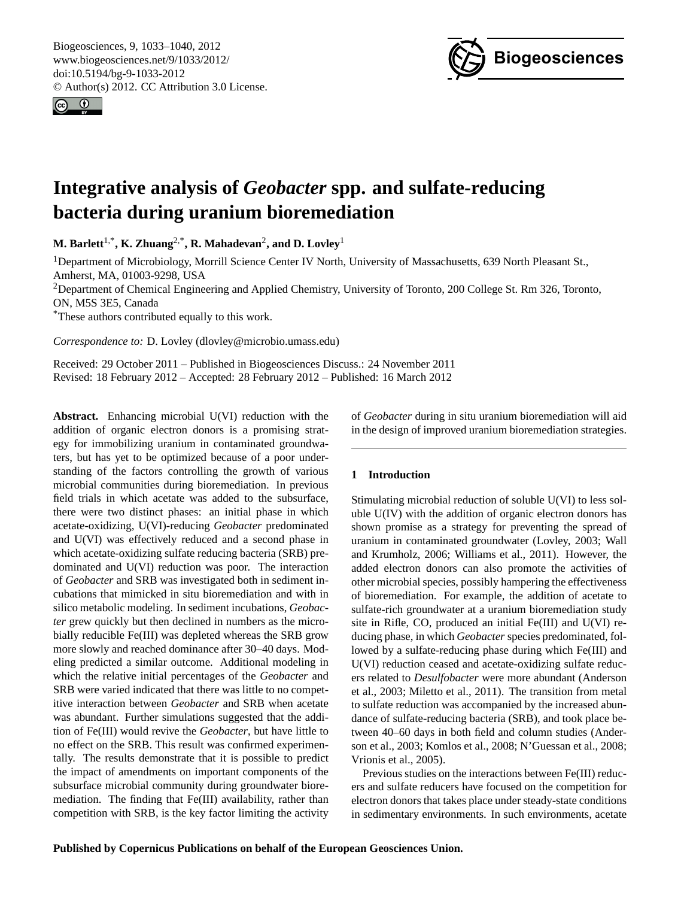<span id="page-0-0"></span>Biogeosciences, 9, 1033–1040, 2012 www.biogeosciences.net/9/1033/2012/ doi:10.5194/bg-9-1033-2012 © Author(s) 2012. CC Attribution 3.0 License.





# **Integrative analysis of** *Geobacter* **spp. and sulfate-reducing bacteria during uranium bioremediation**

**M. Barlett**1,\***, K. Zhuang**2,\***, R. Mahadevan**<sup>2</sup> **, and D. Lovley**<sup>1</sup>

<sup>1</sup>Department of Microbiology, Morrill Science Center IV North, University of Massachusetts, 639 North Pleasant St., Amherst, MA, 01003-9298, USA

<sup>2</sup>Department of Chemical Engineering and Applied Chemistry, University of Toronto, 200 College St. Rm 326, Toronto, ON, M5S 3E5, Canada

\*These authors contributed equally to this work.

*Correspondence to:* D. Lovley (dlovley@microbio.umass.edu)

Received: 29 October 2011 – Published in Biogeosciences Discuss.: 24 November 2011 Revised: 18 February 2012 – Accepted: 28 February 2012 – Published: 16 March 2012

**Abstract.** Enhancing microbial U(VI) reduction with the addition of organic electron donors is a promising strategy for immobilizing uranium in contaminated groundwaters, but has yet to be optimized because of a poor understanding of the factors controlling the growth of various microbial communities during bioremediation. In previous field trials in which acetate was added to the subsurface, there were two distinct phases: an initial phase in which acetate-oxidizing, U(VI)-reducing *Geobacter* predominated and U(VI) was effectively reduced and a second phase in which acetate-oxidizing sulfate reducing bacteria (SRB) predominated and U(VI) reduction was poor. The interaction of *Geobacter* and SRB was investigated both in sediment incubations that mimicked in situ bioremediation and with in silico metabolic modeling. In sediment incubations, *Geobacter* grew quickly but then declined in numbers as the microbially reducible Fe(III) was depleted whereas the SRB grow more slowly and reached dominance after 30–40 days. Modeling predicted a similar outcome. Additional modeling in which the relative initial percentages of the *Geobacter* and SRB were varied indicated that there was little to no competitive interaction between *Geobacter* and SRB when acetate was abundant. Further simulations suggested that the addition of Fe(III) would revive the *Geobacter*, but have little to no effect on the SRB. This result was confirmed experimentally. The results demonstrate that it is possible to predict the impact of amendments on important components of the subsurface microbial community during groundwater bioremediation. The finding that Fe(III) availability, rather than competition with SRB, is the key factor limiting the activity of *Geobacter* during in situ uranium bioremediation will aid in the design of improved uranium bioremediation strategies.

## **1 Introduction**

Stimulating microbial reduction of soluble U(VI) to less soluble U(IV) with the addition of organic electron donors has shown promise as a strategy for preventing the spread of uranium in contaminated groundwater (Lovley, 2003; Wall and Krumholz, 2006; Williams et al., 2011). However, the added electron donors can also promote the activities of other microbial species, possibly hampering the effectiveness of bioremediation. For example, the addition of acetate to sulfate-rich groundwater at a uranium bioremediation study site in Rifle, CO, produced an initial Fe(III) and U(VI) reducing phase, in which *Geobacter* species predominated, followed by a sulfate-reducing phase during which Fe(III) and U(VI) reduction ceased and acetate-oxidizing sulfate reducers related to *Desulfobacter* were more abundant (Anderson et al., 2003; Miletto et al., 2011). The transition from metal to sulfate reduction was accompanied by the increased abundance of sulfate-reducing bacteria (SRB), and took place between 40–60 days in both field and column studies (Anderson et al., 2003; Komlos et al., 2008; N'Guessan et al., 2008; Vrionis et al., 2005).

Previous studies on the interactions between Fe(III) reducers and sulfate reducers have focused on the competition for electron donors that takes place under steady-state conditions in sedimentary environments. In such environments, acetate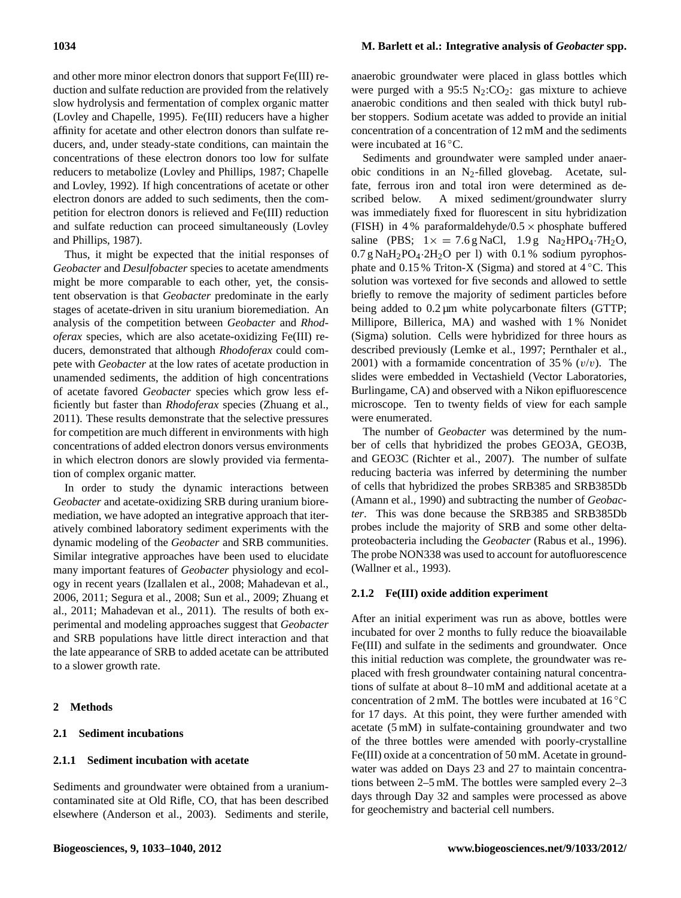and other more minor electron donors that support Fe(III) reduction and sulfate reduction are provided from the relatively slow hydrolysis and fermentation of complex organic matter (Lovley and Chapelle, 1995). Fe(III) reducers have a higher affinity for acetate and other electron donors than sulfate reducers, and, under steady-state conditions, can maintain the concentrations of these electron donors too low for sulfate reducers to metabolize (Lovley and Phillips, 1987; Chapelle and Lovley, 1992). If high concentrations of acetate or other electron donors are added to such sediments, then the competition for electron donors is relieved and Fe(III) reduction and sulfate reduction can proceed simultaneously (Lovley and Phillips, 1987).

Thus, it might be expected that the initial responses of *Geobacter* and *Desulfobacter* species to acetate amendments might be more comparable to each other, yet, the consistent observation is that *Geobacter* predominate in the early stages of acetate-driven in situ uranium bioremediation. An analysis of the competition between *Geobacter* and *Rhodoferax* species, which are also acetate-oxidizing Fe(III) reducers, demonstrated that although *Rhodoferax* could compete with *Geobacter* at the low rates of acetate production in unamended sediments, the addition of high concentrations of acetate favored *Geobacter* species which grow less efficiently but faster than *Rhodoferax* species (Zhuang et al., 2011). These results demonstrate that the selective pressures for competition are much different in environments with high concentrations of added electron donors versus environments in which electron donors are slowly provided via fermentation of complex organic matter.

In order to study the dynamic interactions between *Geobacter* and acetate-oxidizing SRB during uranium bioremediation, we have adopted an integrative approach that iteratively combined laboratory sediment experiments with the dynamic modeling of the *Geobacter* and SRB communities. Similar integrative approaches have been used to elucidate many important features of *Geobacter* physiology and ecology in recent years (Izallalen et al., 2008; Mahadevan et al., 2006, 2011; Segura et al., 2008; Sun et al., 2009; Zhuang et al., 2011; Mahadevan et al., 2011). The results of both experimental and modeling approaches suggest that *Geobacter* and SRB populations have little direct interaction and that the late appearance of SRB to added acetate can be attributed to a slower growth rate.

## **2 Methods**

## **2.1 Sediment incubations**

## **2.1.1 Sediment incubation with acetate**

Sediments and groundwater were obtained from a uraniumcontaminated site at Old Rifle, CO, that has been described elsewhere (Anderson et al., 2003). Sediments and sterile,

anaerobic groundwater were placed in glass bottles which were purged with a 95:5  $N_2$ : $CO_2$ : gas mixture to achieve anaerobic conditions and then sealed with thick butyl rubber stoppers. Sodium acetate was added to provide an initial concentration of a concentration of 12 mM and the sediments were incubated at  $16^{\circ}$ C.

Sediments and groundwater were sampled under anaerobic conditions in an  $N_2$ -filled glovebag. Acetate, sulfate, ferrous iron and total iron were determined as described below. A mixed sediment/groundwater slurry was immediately fixed for fluorescent in situ hybridization (FISH) in 4% paraformaldehyde/0.5  $\times$  phosphate buffered saline (PBS;  $1 \times = 7.6$  g NaCl,  $1.9$  g Na<sub>2</sub>HPO<sub>4</sub>·7H<sub>2</sub>O,  $0.7 g$  NaH<sub>2</sub>PO<sub>4</sub>·2H<sub>2</sub>O per 1) with 0.1 % sodium pyrophosphate and  $0.15\%$  Triton-X (Sigma) and stored at  $4\,^{\circ}$ C. This solution was vortexed for five seconds and allowed to settle briefly to remove the majority of sediment particles before being added to  $0.2 \mu m$  white polycarbonate filters (GTTP; Millipore, Billerica, MA) and washed with 1 % Nonidet (Sigma) solution. Cells were hybridized for three hours as described previously (Lemke et al., 1997; Pernthaler et al., 2001) with a formamide concentration of 35%  $(v/v)$ . The slides were embedded in Vectashield (Vector Laboratories, Burlingame, CA) and observed with a Nikon epifluorescence microscope. Ten to twenty fields of view for each sample were enumerated.

The number of *Geobacter* was determined by the number of cells that hybridized the probes GEO3A, GEO3B, and GEO3C (Richter et al., 2007). The number of sulfate reducing bacteria was inferred by determining the number of cells that hybridized the probes SRB385 and SRB385Db (Amann et al., 1990) and subtracting the number of *Geobacter*. This was done because the SRB385 and SRB385Db probes include the majority of SRB and some other deltaproteobacteria including the *Geobacter* (Rabus et al., 1996). The probe NON338 was used to account for autofluorescence (Wallner et al., 1993).

## **2.1.2 Fe(III) oxide addition experiment**

After an initial experiment was run as above, bottles were incubated for over 2 months to fully reduce the bioavailable Fe(III) and sulfate in the sediments and groundwater. Once this initial reduction was complete, the groundwater was replaced with fresh groundwater containing natural concentrations of sulfate at about 8–10 mM and additional acetate at a concentration of 2 mM. The bottles were incubated at  $16^{\circ}$ C for 17 days. At this point, they were further amended with acetate (5 mM) in sulfate-containing groundwater and two of the three bottles were amended with poorly-crystalline Fe(III) oxide at a concentration of 50 mM. Acetate in groundwater was added on Days 23 and 27 to maintain concentrations between 2–5 mM. The bottles were sampled every 2–3 days through Day 32 and samples were processed as above for geochemistry and bacterial cell numbers.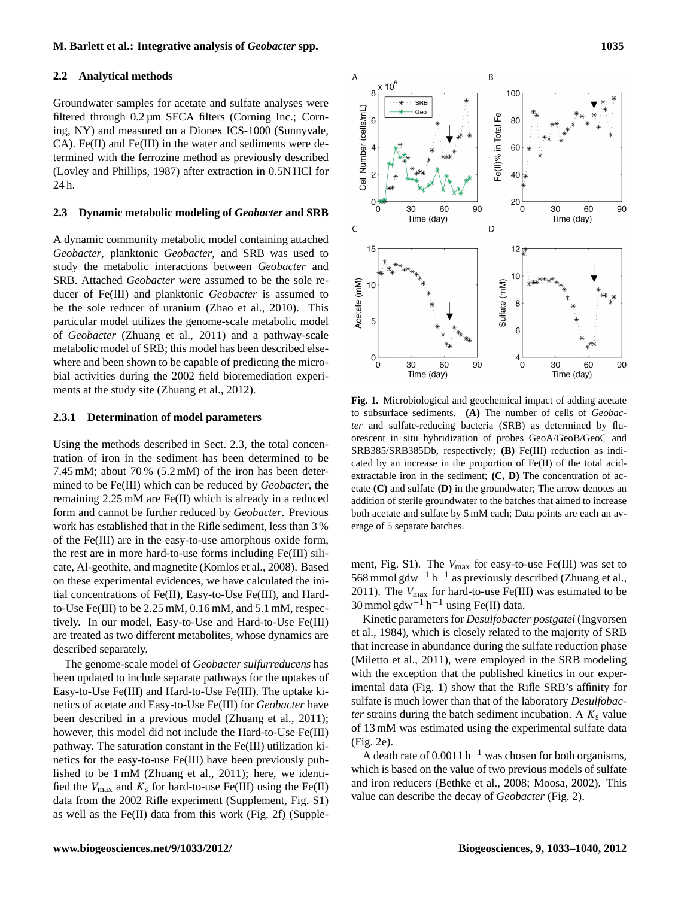## **2.2 Analytical methods**

Groundwater samples for acetate and sulfate analyses were filtered through 0.2 µm SFCA filters (Corning Inc.; Corning, NY) and measured on a Dionex ICS-1000 (Sunnyvale, CA). Fe(II) and Fe(III) in the water and sediments were determined with the ferrozine method as previously described (Lovley and Phillips, 1987) after extraction in 0.5N HCl for 24 h.

## **2.3 Dynamic metabolic modeling of** *Geobacter* **and SRB**

A dynamic community metabolic model containing attached *Geobacter*, planktonic *Geobacter*, and SRB was used to study the metabolic interactions between *Geobacter* and SRB. Attached *Geobacter* were assumed to be the sole reducer of Fe(III) and planktonic *Geobacter* is assumed to be the sole reducer of uranium (Zhao et al., 2010). This particular model utilizes the genome-scale metabolic model of *Geobacter* (Zhuang et al., 2011) and a pathway-scale metabolic model of SRB; this model has been described elsewhere and been shown to be capable of predicting the microbial activities during the 2002 field bioremediation experiments at the study site (Zhuang et al., 2012).

## **2.3.1 Determination of model parameters**

Using the methods described in Sect. 2.3, the total concentration of iron in the sediment has been determined to be 7.45 mM; about 70 % (5.2 mM) of the iron has been determined to be Fe(III) which can be reduced by *Geobacter*, the remaining 2.25 mM are Fe(II) which is already in a reduced form and cannot be further reduced by *Geobacter*. Previous work has established that in the Rifle sediment, less than 3 % of the Fe(III) are in the easy-to-use amorphous oxide form, the rest are in more hard-to-use forms including Fe(III) silicate, Al-geothite, and magnetite (Komlos et al., 2008). Based on these experimental evidences, we have calculated the initial concentrations of Fe(II), Easy-to-Use Fe(III), and Hardto-Use Fe(III) to be 2.25 mM, 0.16 mM, and 5.1 mM, respectively. In our model, Easy-to-Use and Hard-to-Use Fe(III) are treated as two different metabolites, whose dynamics are described separately.

The genome-scale model of *Geobacter sulfurreducens* has been updated to include separate pathways for the uptakes of Easy-to-Use Fe(III) and Hard-to-Use Fe(III). The uptake kinetics of acetate and Easy-to-Use Fe(III) for *Geobacter* have been described in a previous model (Zhuang et al., 2011); however, this model did not include the Hard-to-Use Fe(III) pathway. The saturation constant in the Fe(III) utilization kinetics for the easy-to-use Fe(III) have been previously published to be 1 mM (Zhuang et al., 2011); here, we identified the  $V_{\text{max}}$  and  $K_s$  for hard-to-use Fe(III) using the Fe(II) data from the 2002 Rifle experiment (Supplement, Fig. S1) as well as the Fe(II) data from this work (Fig. 2f) (Supple-



**Fig. 1.** Microbiological and geochemical impact of adding acetate to subsurface sediments. **(A)** The number of cells of *Geobacter* and sulfate-reducing bacteria (SRB) as determined by fluorescent in situ hybridization of probes GeoA/GeoB/GeoC and SRB385/SRB385Db, respectively; **(B)** Fe(III) reduction as indicated by an increase in the proportion of Fe(II) of the total acidextractable iron in the sediment;  $(C, D)$  The concentration of acetate **(C)** and sulfate **(D)** in the groundwater; The arrow denotes an addition of sterile groundwater to the batches that aimed to increase both acetate and sulfate by 5 mM each; Data points are each an average of 5 separate batches.

ment, Fig. S1). The  $V_{\text{max}}$  for easy-to-use Fe(III) was set to 568 mmol gdw−<sup>1</sup> h −1 as previously described (Zhuang et al., 2011). The  $V_{\text{max}}$  for hard-to-use Fe(III) was estimated to be 30 mmol gdw<sup>-1</sup> h<sup>-1</sup> using Fe(II) data.

Kinetic parameters for *Desulfobacter postgatei* (Ingvorsen et al., 1984), which is closely related to the majority of SRB that increase in abundance during the sulfate reduction phase (Miletto et al., 2011), were employed in the SRB modeling with the exception that the published kinetics in our experimental data (Fig. 1) show that the Rifle SRB's affinity for sulfate is much lower than that of the laboratory *Desulfobacter* strains during the batch sediment incubation. A  $K_s$  value of 13 mM was estimated using the experimental sulfate data (Fig. 2e).

A death rate of  $0.0011 h^{-1}$  was chosen for both organisms, which is based on the value of two previous models of sulfate and iron reducers (Bethke et al., 2008; Moosa, 2002). This value can describe the decay of *Geobacter* (Fig. 2).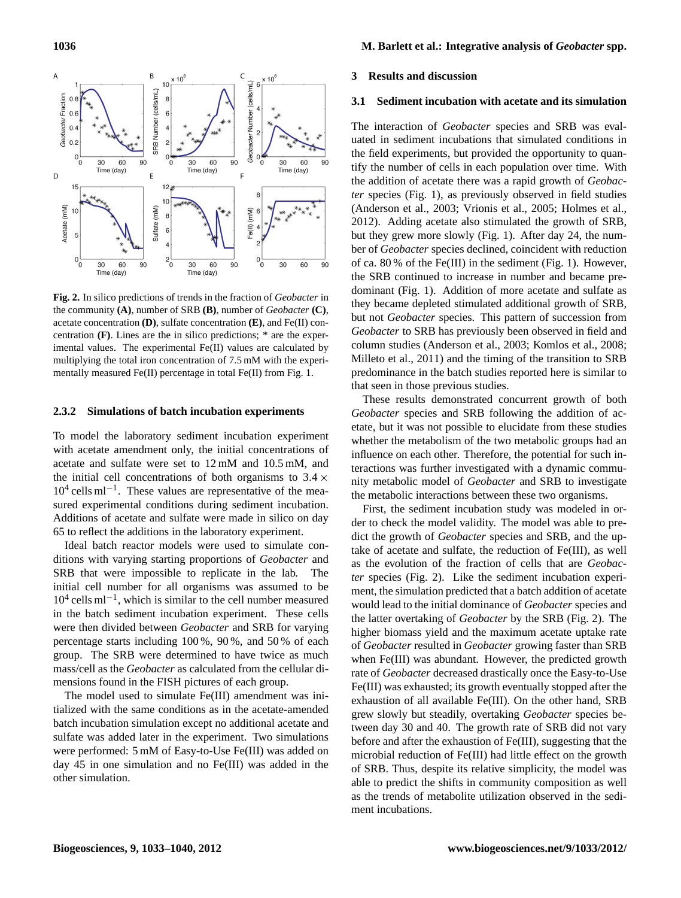

**Fig. 2.** In silico predictions of trends in the fraction of *Geobacter* in the community **(A)**, number of SRB **(B)**, number of *Geobacter* **(C)**, acetate concentration **(D)**, sulfate concentration **(E)**, and Fe(II) concentration **(F)**. Lines are the in silico predictions; \* are the experimental values. The experimental Fe(II) values are calculated by multiplying the total iron concentration of 7.5 mM with the experimentally measured Fe(II) percentage in total Fe(II) from Fig. 1.

#### **2.3.2 Simulations of batch incubation experiments**

To model the laboratory sediment incubation experiment with acetate amendment only, the initial concentrations of acetate and sulfate were set to 12 mM and 10.5 mM, and the initial cell concentrations of both organisms to  $3.4 \times$ 10<sup>4</sup> cells ml−<sup>1</sup> . These values are representative of the measured experimental conditions during sediment incubation. Additions of acetate and sulfate were made in silico on day 65 to reflect the additions in the laboratory experiment.

Ideal batch reactor models were used to simulate conditions with varying starting proportions of *Geobacter* and SRB that were impossible to replicate in the lab. The initial cell number for all organisms was assumed to be 10<sup>4</sup> cells ml−<sup>1</sup> , which is similar to the cell number measured in the batch sediment incubation experiment. These cells were then divided between *Geobacter* and SRB for varying percentage starts including 100 %, 90 %, and 50 % of each group. The SRB were determined to have twice as much mass/cell as the *Geobacter* as calculated from the cellular dimensions found in the FISH pictures of each group.

The model used to simulate Fe(III) amendment was initialized with the same conditions as in the acetate-amended batch incubation simulation except no additional acetate and sulfate was added later in the experiment. Two simulations were performed: 5 mM of Easy-to-Use Fe(III) was added on day 45 in one simulation and no Fe(III) was added in the other simulation.

## **1036 M. Barlett et al.: Integrative analysis of** *Geobacter* **spp.**

#### **3 Results and discussion**

## **3.1 Sediment incubation with acetate and its simulation**

The interaction of *Geobacter* species and SRB was evaluated in sediment incubations that simulated conditions in the field experiments, but provided the opportunity to quantify the number of cells in each population over time. With the addition of acetate there was a rapid growth of *Geobacter* species (Fig. 1), as previously observed in field studies (Anderson et al., 2003; Vrionis et al., 2005; Holmes et al., 2012). Adding acetate also stimulated the growth of SRB, but they grew more slowly (Fig. 1). After day 24, the number of *Geobacter* species declined, coincident with reduction of ca. 80 % of the Fe(III) in the sediment (Fig. 1). However, the SRB continued to increase in number and became predominant (Fig. 1). Addition of more acetate and sulfate as they became depleted stimulated additional growth of SRB, but not *Geobacter* species. This pattern of succession from *Geobacter* to SRB has previously been observed in field and column studies (Anderson et al., 2003; Komlos et al., 2008; Milleto et al., 2011) and the timing of the transition to SRB predominance in the batch studies reported here is similar to that seen in those previous studies.

These results demonstrated concurrent growth of both *Geobacter* species and SRB following the addition of acetate, but it was not possible to elucidate from these studies whether the metabolism of the two metabolic groups had an influence on each other. Therefore, the potential for such interactions was further investigated with a dynamic community metabolic model of *Geobacter* and SRB to investigate the metabolic interactions between these two organisms.

First, the sediment incubation study was modeled in order to check the model validity. The model was able to predict the growth of *Geobacter* species and SRB, and the uptake of acetate and sulfate, the reduction of Fe(III), as well as the evolution of the fraction of cells that are *Geobacter* species (Fig. 2). Like the sediment incubation experiment, the simulation predicted that a batch addition of acetate would lead to the initial dominance of *Geobacter* species and the latter overtaking of *Geobacter* by the SRB (Fig. 2). The higher biomass yield and the maximum acetate uptake rate of *Geobacter* resulted in *Geobacter* growing faster than SRB when Fe(III) was abundant. However, the predicted growth rate of *Geobacter* decreased drastically once the Easy-to-Use Fe(III) was exhausted; its growth eventually stopped after the exhaustion of all available Fe(III). On the other hand, SRB grew slowly but steadily, overtaking *Geobacter* species between day 30 and 40. The growth rate of SRB did not vary before and after the exhaustion of Fe(III), suggesting that the microbial reduction of Fe(III) had little effect on the growth of SRB. Thus, despite its relative simplicity, the model was able to predict the shifts in community composition as well as the trends of metabolite utilization observed in the sediment incubations.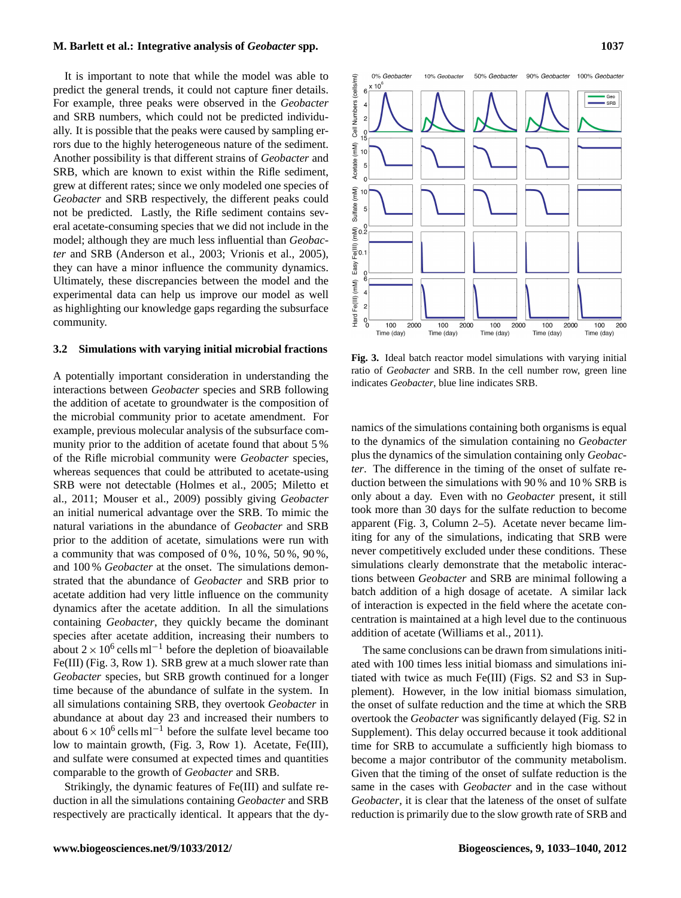It is important to note that while the model was able to predict the general trends, it could not capture finer details. For example, three peaks were observed in the *Geobacter* and SRB numbers, which could not be predicted individually. It is possible that the peaks were caused by sampling errors due to the highly heterogeneous nature of the sediment. Another possibility is that different strains of *Geobacter* and SRB, which are known to exist within the Rifle sediment, grew at different rates; since we only modeled one species of *Geobacter* and SRB respectively, the different peaks could not be predicted. Lastly, the Rifle sediment contains several acetate-consuming species that we did not include in the model; although they are much less influential than *Geobacter* and SRB (Anderson et al., 2003; Vrionis et al., 2005), they can have a minor influence the community dynamics. Ultimately, these discrepancies between the model and the experimental data can help us improve our model as well as highlighting our knowledge gaps regarding the subsurface community.

#### **3.2 Simulations with varying initial microbial fractions**

A potentially important consideration in understanding the interactions between *Geobacter* species and SRB following the addition of acetate to groundwater is the composition of the microbial community prior to acetate amendment. For example, previous molecular analysis of the subsurface community prior to the addition of acetate found that about 5 % of the Rifle microbial community were *Geobacter* species, whereas sequences that could be attributed to acetate-using SRB were not detectable (Holmes et al., 2005; Miletto et al., 2011; Mouser et al., 2009) possibly giving *Geobacter* an initial numerical advantage over the SRB. To mimic the natural variations in the abundance of *Geobacter* and SRB prior to the addition of acetate, simulations were run with a community that was composed of  $0\%$ ,  $10\%$ ,  $50\%$ ,  $90\%$ , and 100 % *Geobacter* at the onset. The simulations demonstrated that the abundance of *Geobacter* and SRB prior to acetate addition had very little influence on the community dynamics after the acetate addition. In all the simulations containing *Geobacter*, they quickly became the dominant species after acetate addition, increasing their numbers to about  $2 \times 10^6$  cells ml<sup>-1</sup> before the depletion of bioavailable Fe(III) (Fig. 3, Row 1). SRB grew at a much slower rate than *Geobacter* species, but SRB growth continued for a longer time because of the abundance of sulfate in the system. In all simulations containing SRB, they overtook *Geobacter* in abundance at about day 23 and increased their numbers to about  $6 \times 10^6$  cells ml<sup>-1</sup> before the sulfate level became too low to maintain growth, (Fig. 3, Row 1). Acetate, Fe(III), and sulfate were consumed at expected times and quantities comparable to the growth of *Geobacter* and SRB.

Strikingly, the dynamic features of Fe(III) and sulfate reduction in all the simulations containing *Geobacter* and SRB respectively are practically identical. It appears that the dy-

0% Geobacter 10% Geobacter 50% Geobacter 90% Geobacter 100% Geobacter Cell Numbers (cells/ml)  $6\frac{\text{x }10^6}{\sqrt{1}}$ SRB  $\overline{4}$  $\overline{2}$  $10^{0}$  $\binom{m}{k}$  $10$ Acetate 5  $\overline{0}$  $\widehat{\underline{\epsilon}}$  10 Sulfate 5  $\widehat{\mathsf{F}}_{0.2}^0$  $\widehat{\overline{\xi}}_{0.1}$ Easy  $(mM)$  $\overline{4}$ Fe(III) (  $\overline{c}$ Hard  $\alpha$ 100 2000 100 2000 100 2000 100 2000 100 200 Time (day) Time (day) Time (day) Time (day) Time (dav)

**Fig. 3.** Ideal batch reactor model simulations with varying initial ratio of *Geobacter* and SRB. In the cell number row, green line indicates *Geobacter*, blue line indicates SRB.

namics of the simulations containing both organisms is equal to the dynamics of the simulation containing no *Geobacter* plus the dynamics of the simulation containing only *Geobacter*. The difference in the timing of the onset of sulfate reduction between the simulations with 90 % and 10 % SRB is only about a day. Even with no *Geobacter* present, it still took more than 30 days for the sulfate reduction to become apparent (Fig. 3, Column 2–5). Acetate never became limiting for any of the simulations, indicating that SRB were never competitively excluded under these conditions. These simulations clearly demonstrate that the metabolic interactions between *Geobacter* and SRB are minimal following a batch addition of a high dosage of acetate. A similar lack of interaction is expected in the field where the acetate concentration is maintained at a high level due to the continuous addition of acetate (Williams et al., 2011).

The same conclusions can be drawn from simulations initiated with 100 times less initial biomass and simulations initiated with twice as much Fe(III) (Figs. S2 and S3 in Supplement). However, in the low initial biomass simulation, the onset of sulfate reduction and the time at which the SRB overtook the *Geobacter* was significantly delayed (Fig. S2 in Supplement). This delay occurred because it took additional time for SRB to accumulate a sufficiently high biomass to become a major contributor of the community metabolism. Given that the timing of the onset of sulfate reduction is the same in the cases with *Geobacter* and in the case without *Geobacter*, it is clear that the lateness of the onset of sulfate reduction is primarily due to the slow growth rate of SRB and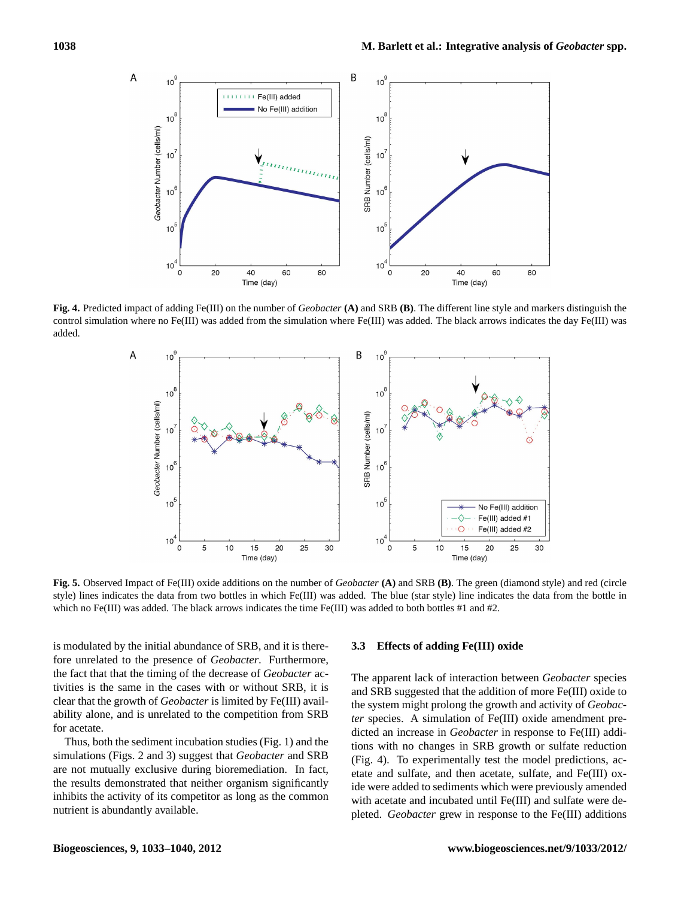

**Fig. 4.** Predicted impact of adding Fe(III) on the number of *Geobacter* **(A)** and SRB **(B)**. The different line style and markers distinguish the control simulation where no Fe(III) was added from the simulation where Fe(III) was added. The black arrows indicates the day Fe(III) was added.



**Fig. 5.** Observed Impact of Fe(III) oxide additions on the number of *Geobacter* **(A)** and SRB **(B)**. The green (diamond style) and red (circle style) lines indicates the data from two bottles in which Fe(III) was added. The blue (star style) line indicates the data from the bottle in which no Fe(III) was added. The black arrows indicates the time Fe(III) was added to both bottles #1 and #2.

is modulated by the initial abundance of SRB, and it is therefore unrelated to the presence of *Geobacter*. Furthermore, the fact that that the timing of the decrease of *Geobacter* activities is the same in the cases with or without SRB, it is clear that the growth of *Geobacter* is limited by Fe(III) availability alone, and is unrelated to the competition from SRB for acetate.

Thus, both the sediment incubation studies (Fig. 1) and the simulations (Figs. 2 and 3) suggest that *Geobacter* and SRB are not mutually exclusive during bioremediation. In fact, the results demonstrated that neither organism significantly inhibits the activity of its competitor as long as the common nutrient is abundantly available.

#### **3.3 Effects of adding Fe(III) oxide**

The apparent lack of interaction between *Geobacter* species and SRB suggested that the addition of more Fe(III) oxide to the system might prolong the growth and activity of *Geobacter* species. A simulation of Fe(III) oxide amendment predicted an increase in *Geobacter* in response to Fe(III) additions with no changes in SRB growth or sulfate reduction (Fig. 4). To experimentally test the model predictions, acetate and sulfate, and then acetate, sulfate, and Fe(III) oxide were added to sediments which were previously amended with acetate and incubated until Fe(III) and sulfate were depleted. *Geobacter* grew in response to the Fe(III) additions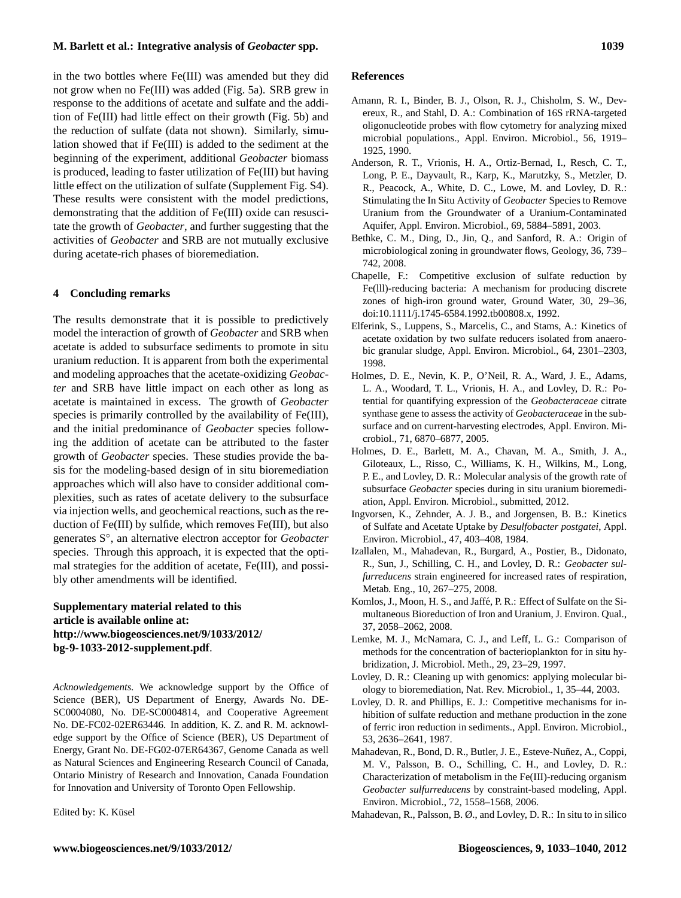in the two bottles where Fe(III) was amended but they did not grow when no Fe(III) was added (Fig. 5a). SRB grew in response to the additions of acetate and sulfate and the addition of Fe(III) had little effect on their growth (Fig. 5b) and the reduction of sulfate (data not shown). Similarly, simulation showed that if Fe(III) is added to the sediment at the beginning of the experiment, additional *Geobacter* biomass is produced, leading to faster utilization of Fe(III) but having little effect on the utilization of sulfate (Supplement Fig. S4). These results were consistent with the model predictions, demonstrating that the addition of Fe(III) oxide can resuscitate the growth of *Geobacter*, and further suggesting that the activities of *Geobacter* and SRB are not mutually exclusive during acetate-rich phases of bioremediation.

## **4 Concluding remarks**

The results demonstrate that it is possible to predictively model the interaction of growth of *Geobacter* and SRB when acetate is added to subsurface sediments to promote in situ uranium reduction. It is apparent from both the experimental and modeling approaches that the acetate-oxidizing *Geobacter* and SRB have little impact on each other as long as acetate is maintained in excess. The growth of *Geobacter* species is primarily controlled by the availability of Fe(III), and the initial predominance of *Geobacter* species following the addition of acetate can be attributed to the faster growth of *Geobacter* species. These studies provide the basis for the modeling-based design of in situ bioremediation approaches which will also have to consider additional complexities, such as rates of acetate delivery to the subsurface via injection wells, and geochemical reactions, such as the reduction of Fe(III) by sulfide, which removes Fe(III), but also generates S◦ , an alternative electron acceptor for *Geobacter* species. Through this approach, it is expected that the optimal strategies for the addition of acetate, Fe(III), and possibly other amendments will be identified.

# **Supplementary material related to this article is available online at: [http://www.biogeosciences.net/9/1033/2012/](http://www.biogeosciences.net/9/1033/2012/bg-9-1033-2012-supplement.pdf) [bg-9-1033-2012-supplement.pdf](http://www.biogeosciences.net/9/1033/2012/bg-9-1033-2012-supplement.pdf)**.

*Acknowledgements.* We acknowledge support by the Office of Science (BER), US Department of Energy, Awards No. DE-SC0004080, No. DE-SC0004814, and Cooperative Agreement No. DE-FC02-02ER63446. In addition, K. Z. and R. M. acknowledge support by the Office of Science (BER), US Department of Energy, Grant No. DE-FG02-07ER64367, Genome Canada as well as Natural Sciences and Engineering Research Council of Canada, Ontario Ministry of Research and Innovation, Canada Foundation for Innovation and University of Toronto Open Fellowship.

Edited by: K. Küsel

# **References**

- Amann, R. I., Binder, B. J., Olson, R. J., Chisholm, S. W., Devereux, R., and Stahl, D. A.: Combination of 16S rRNA-targeted oligonucleotide probes with flow cytometry for analyzing mixed microbial populations., Appl. Environ. Microbiol., 56, 1919– 1925, 1990.
- Anderson, R. T., Vrionis, H. A., Ortiz-Bernad, I., Resch, C. T., Long, P. E., Dayvault, R., Karp, K., Marutzky, S., Metzler, D. R., Peacock, A., White, D. C., Lowe, M. and Lovley, D. R.: Stimulating the In Situ Activity of *Geobacter* Species to Remove Uranium from the Groundwater of a Uranium-Contaminated Aquifer, Appl. Environ. Microbiol., 69, 5884–5891, 2003.
- Bethke, C. M., Ding, D., Jin, Q., and Sanford, R. A.: Origin of microbiological zoning in groundwater flows, Geology, 36, 739– 742, 2008.
- Chapelle, F.: Competitive exclusion of sulfate reduction by Fe(lll)-reducing bacteria: A mechanism for producing discrete zones of high-iron ground water, Ground Water, 30, 29–36, [doi:10.1111/j.1745-6584.1992.tb00808.x,](http://dx.doi.org/10.1111/j.1745-6584.1992.tb00808.x) 1992.
- Elferink, S., Luppens, S., Marcelis, C., and Stams, A.: Kinetics of acetate oxidation by two sulfate reducers isolated from anaerobic granular sludge, Appl. Environ. Microbiol., 64, 2301–2303, 1998.
- Holmes, D. E., Nevin, K. P., O'Neil, R. A., Ward, J. E., Adams, L. A., Woodard, T. L., Vrionis, H. A., and Lovley, D. R.: Potential for quantifying expression of the *Geobacteraceae* citrate synthase gene to assess the activity of *Geobacteraceae* in the subsurface and on current-harvesting electrodes, Appl. Environ. Microbiol., 71, 6870–6877, 2005.
- Holmes, D. E., Barlett, M. A., Chavan, M. A., Smith, J. A., Giloteaux, L., Risso, C., Williams, K. H., Wilkins, M., Long, P. E., and Lovley, D. R.: Molecular analysis of the growth rate of subsurface *Geobacter* species during in situ uranium bioremediation, Appl. Environ. Microbiol., submitted, 2012.
- Ingvorsen, K., Zehnder, A. J. B., and Jorgensen, B. B.: Kinetics of Sulfate and Acetate Uptake by *Desulfobacter postgatei*, Appl. Environ. Microbiol., 47, 403–408, 1984.
- Izallalen, M., Mahadevan, R., Burgard, A., Postier, B., Didonato, R., Sun, J., Schilling, C. H., and Lovley, D. R.: *Geobacter sulfurreducens* strain engineered for increased rates of respiration, Metab. Eng., 10, 267–275, 2008.
- Komlos, J., Moon, H. S., and Jaffé, P. R.: Effect of Sulfate on the Simultaneous Bioreduction of Iron and Uranium, J. Environ. Qual., 37, 2058–2062, 2008.
- Lemke, M. J., McNamara, C. J., and Leff, L. G.: Comparison of methods for the concentration of bacterioplankton for in situ hybridization, J. Microbiol. Meth., 29, 23–29, 1997.
- Lovley, D. R.: Cleaning up with genomics: applying molecular biology to bioremediation, Nat. Rev. Microbiol., 1, 35–44, 2003.
- Lovley, D. R. and Phillips, E. J.: Competitive mechanisms for inhibition of sulfate reduction and methane production in the zone of ferric iron reduction in sediments., Appl. Environ. Microbiol., 53, 2636–2641, 1987.
- Mahadevan, R., Bond, D. R., Butler, J. E., Esteve-Nuñez, A., Coppi, M. V., Palsson, B. O., Schilling, C. H., and Lovley, D. R.: Characterization of metabolism in the Fe(III)-reducing organism *Geobacter sulfurreducens* by constraint-based modeling, Appl. Environ. Microbiol., 72, 1558–1568, 2006.
- Mahadevan, R., Palsson, B. Ø., and Lovley, D. R.: In situ to in silico